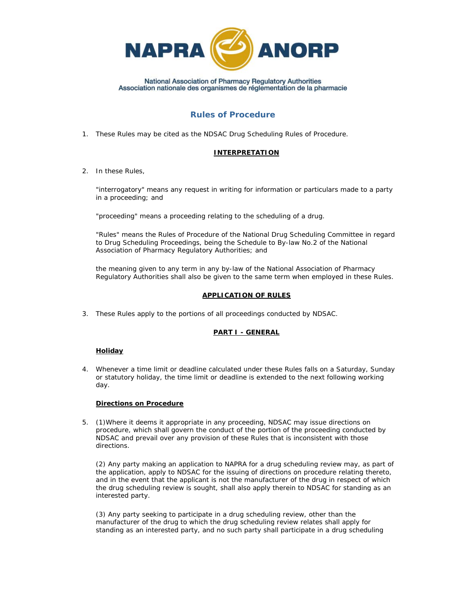

# **Rules of Procedure**

1. These Rules may be cited as the NDSAC Drug Scheduling Rules of Procedure.

### **INTERPRETATION**

2. In these Rules,

"*interrogatory*" means any request in writing for information or particulars made to a party in a proceeding; and

"*proceeding*" means a proceeding relating to the scheduling of a drug.

"*Rules*" means the Rules of Procedure of the National Drug Scheduling Committee in regard to Drug Scheduling Proceedings, being the Schedule to By-law No.2 of the National Association of Pharmacy Regulatory Authorities; and

the meaning given to any term in any by-law of the National Association of Pharmacy Regulatory Authorities shall also be given to the same term when employed in these Rules.

## **APPLICATION OF RULES**

3. These Rules apply to the portions of all proceedings conducted by NDSAC.

### **PART I - GENERAL**

### **Holiday**

4. Whenever a time limit or deadline calculated under these Rules falls on a Saturday, Sunday or statutory holiday, the time limit or deadline is extended to the next following working day.

### **Directions on Procedure**

5. (1)Where it deems it appropriate in any proceeding, NDSAC may issue directions on procedure, which shall govern the conduct of the portion of the proceeding conducted by NDSAC and prevail over any provision of these Rules that is inconsistent with those directions.

(2) Any party making an application to NAPRA for a drug scheduling review may, as part of the application, apply to NDSAC for the issuing of directions on procedure relating thereto, and in the event that the applicant is not the manufacturer of the drug in respect of which the drug scheduling review is sought, shall also apply therein to NDSAC for standing as an interested party.

(3) Any party seeking to participate in a drug scheduling review, other than the manufacturer of the drug to which the drug scheduling review relates shall apply for standing as an interested party, and no such party shall participate in a drug scheduling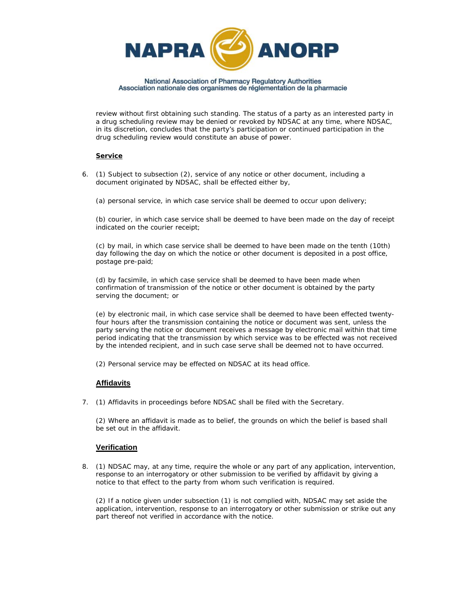

review without first obtaining such standing. The status of a party as an interested party in a drug scheduling review may be denied or revoked by NDSAC at any time, where NDSAC, in its discretion, concludes that the party's participation or continued participation in the drug scheduling review would constitute an abuse of power.

### **Service**

6. (1) Subject to subsection (2), service of any notice or other document, including a document originated by NDSAC, shall be effected either by,

(a) personal service, in which case service shall be deemed to occur upon delivery;

(b) courier, in which case service shall be deemed to have been made on the day of receipt indicated on the courier receipt;

(c) by mail, in which case service shall be deemed to have been made on the tenth (10th) day following the day on which the notice or other document is deposited in a post office, postage pre-paid;

(d) by facsimile, in which case service shall be deemed to have been made when confirmation of transmission of the notice or other document is obtained by the party serving the document; or

(e) by electronic mail, in which case service shall be deemed to have been effected twentyfour hours after the transmission containing the notice or document was sent, unless the party serving the notice or document receives a message by electronic mail within that time period indicating that the transmission by which service was to be effected was not received by the intended recipient, and in such case serve shall be deemed not to have occurred.

(2) Personal service may be effected on NDSAC at its head office.

## **Affidavits**

7. (1) Affidavits in proceedings before NDSAC shall be filed with the Secretary.

(2) Where an affidavit is made as to belief, the grounds on which the belief is based shall be set out in the affidavit.

### **Verification**

8. (1) NDSAC may, at any time, require the whole or any part of any application, intervention, response to an interrogatory or other submission to be verified by affidavit by giving a notice to that effect to the party from whom such verification is required.

(2) If a notice given under subsection (1) is not complied with, NDSAC may set aside the application, intervention, response to an interrogatory or other submission or strike out any part thereof not verified in accordance with the notice.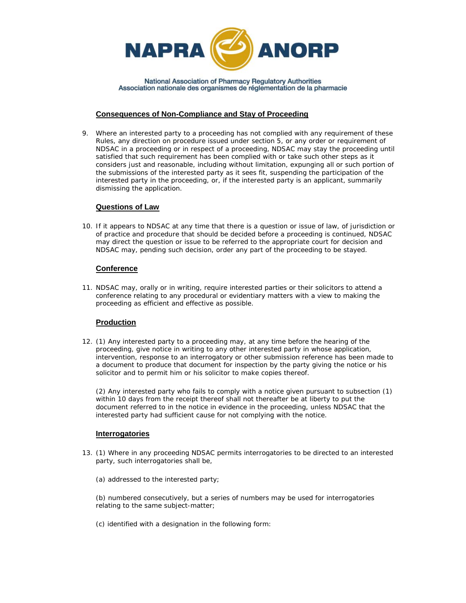

### **Consequences of Non-Compliance and Stay of Proceeding**

9. Where an interested party to a proceeding has not complied with any requirement of these Rules, any direction on procedure issued under section 5, or any order or requirement of NDSAC in a proceeding or in respect of a proceeding, NDSAC may stay the proceeding until satisfied that such requirement has been complied with or take such other steps as it considers just and reasonable, including without limitation, expunging all or such portion of the submissions of the interested party as it sees fit, suspending the participation of the interested party in the proceeding, or, if the interested party is an applicant, summarily dismissing the application.

### **Questions of Law**

10. If it appears to NDSAC at any time that there is a question or issue of law, of jurisdiction or of practice and procedure that should be decided before a proceeding is continued, NDSAC may direct the question or issue to be referred to the appropriate court for decision and NDSAC may, pending such decision, order any part of the proceeding to be stayed.

## **Conference**

11. NDSAC may, orally or in writing, require interested parties or their solicitors to attend a conference relating to any procedural or evidentiary matters with a view to making the proceeding as efficient and effective as possible.

## **Production**

12. (1) Any interested party to a proceeding may, at any time before the hearing of the proceeding, give notice in writing to any other interested party in whose application, intervention, response to an interrogatory or other submission reference has been made to a document to produce that document for inspection by the party giving the notice or his solicitor and to permit him or his solicitor to make copies thereof.

(2) Any interested party who fails to comply with a notice given pursuant to subsection (1) within 10 days from the receipt thereof shall not thereafter be at liberty to put the document referred to in the notice in evidence in the proceeding, unless NDSAC that the interested party had sufficient cause for not complying with the notice.

### **Interrogatories**

- 13. (1) Where in any proceeding NDSAC permits interrogatories to be directed to an interested party, such interrogatories shall be,
	- (a) addressed to the interested party;

(b) numbered consecutively, but a series of numbers may be used for interrogatories relating to the same subject-matter;

(c) identified with a designation in the following form: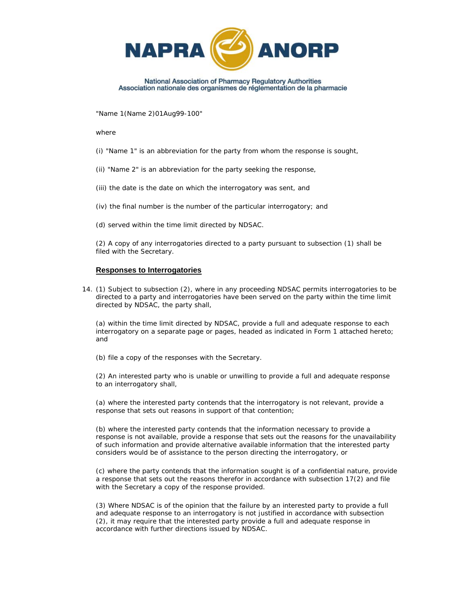

"Name 1(Name 2)01Aug99-100"

where

- (i) "Name 1" is an abbreviation for the party from whom the response is sought,
- (ii) "Name 2" is an abbreviation for the party seeking the response,
- (iii) the date is the date on which the interrogatory was sent, and
- (iv) the final number is the number of the particular interrogatory; and
- (d) served within the time limit directed by NDSAC.

(2) A copy of any interrogatories directed to a party pursuant to subsection (1) shall be filed with the Secretary.

### **Responses to Interrogatories**

14. (1) Subject to subsection (2), where in any proceeding NDSAC permits interrogatories to be directed to a party and interrogatories have been served on the party within the time limit directed by NDSAC, the party shall,

(a) within the time limit directed by NDSAC, provide a full and adequate response to each interrogatory on a separate page or pages, headed as indicated in Form 1 attached hereto; and

(b) file a copy of the responses with the Secretary.

(2) An interested party who is unable or unwilling to provide a full and adequate response to an interrogatory shall,

(a) where the interested party contends that the interrogatory is not relevant, provide a response that sets out reasons in support of that contention;

(b) where the interested party contends that the information necessary to provide a response is not available, provide a response that sets out the reasons for the unavailability of such information and provide alternative available information that the interested party considers would be of assistance to the person directing the interrogatory, or

(c) where the party contends that the information sought is of a confidential nature, provide a response that sets out the reasons therefor in accordance with subsection 17(2) and file with the Secretary a copy of the response provided.

(3) Where NDSAC is of the opinion that the failure by an interested party to provide a full and adequate response to an interrogatory is not justified in accordance with subsection (2), it may require that the interested party provide a full and adequate response in accordance with further directions issued by NDSAC.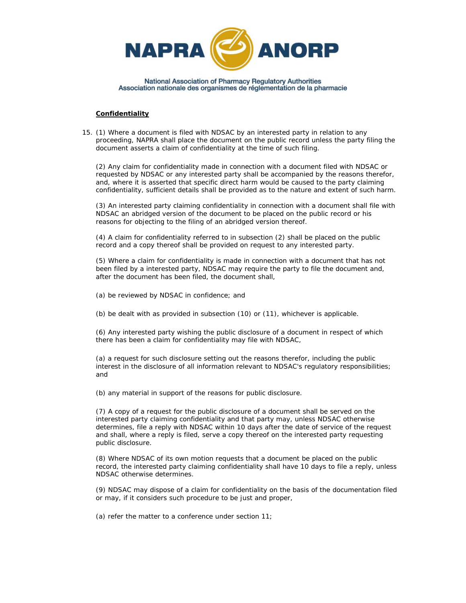

#### **Confidentiality**

15. (1) Where a document is filed with NDSAC by an interested party in relation to any proceeding, NAPRA shall place the document on the public record unless the party filing the document asserts a claim of confidentiality at the time of such filing.

(2) Any claim for confidentiality made in connection with a document filed with NDSAC or requested by NDSAC or any interested party shall be accompanied by the reasons therefor, and, where it is asserted that specific direct harm would be caused to the party claiming confidentiality, sufficient details shall be provided as to the nature and extent of such harm.

(3) An interested party claiming confidentiality in connection with a document shall file with NDSAC an abridged version of the document to be placed on the public record or his reasons for objecting to the filing of an abridged version thereof.

(4) A claim for confidentiality referred to in subsection (2) shall be placed on the public record and a copy thereof shall be provided on request to any interested party.

(5) Where a claim for confidentiality is made in connection with a document that has not been filed by a interested party, NDSAC may require the party to file the document and, after the document has been filed, the document shall,

(a) be reviewed by NDSAC in confidence; and

(b) be dealt with as provided in subsection (10) or (11), whichever is applicable.

(6) Any interested party wishing the public disclosure of a document in respect of which there has been a claim for confidentiality may file with NDSAC,

(a) a request for such disclosure setting out the reasons therefor, including the public interest in the disclosure of all information relevant to NDSAC's regulatory responsibilities; and

(b) any material in support of the reasons for public disclosure.

(7) A copy of a request for the public disclosure of a document shall be served on the interested party claiming confidentiality and that party may, unless NDSAC otherwise determines, file a reply with NDSAC within 10 days after the date of service of the request and shall, where a reply is filed, serve a copy thereof on the interested party requesting public disclosure.

(8) Where NDSAC of its own motion requests that a document be placed on the public record, the interested party claiming confidentiality shall have 10 days to file a reply, unless NDSAC otherwise determines.

(9) NDSAC may dispose of a claim for confidentiality on the basis of the documentation filed or may, if it considers such procedure to be just and proper,

(a) refer the matter to a conference under section 11;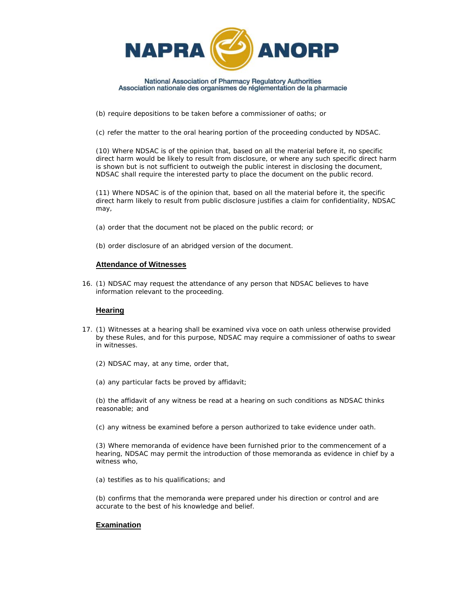

(b) require depositions to be taken before a commissioner of oaths; or

(c) refer the matter to the oral hearing portion of the proceeding conducted by NDSAC.

(10) Where NDSAC is of the opinion that, based on all the material before it, no specific direct harm would be likely to result from disclosure, or where any such specific direct harm is shown but is not sufficient to outweigh the public interest in disclosing the document, NDSAC shall require the interested party to place the document on the public record.

(11) Where NDSAC is of the opinion that, based on all the material before it, the specific direct harm likely to result from public disclosure justifies a claim for confidentiality, NDSAC may,

- (a) order that the document not be placed on the public record; or
- (b) order disclosure of an abridged version of the document.

#### **Attendance of Witnesses**

16. (1) NDSAC may request the attendance of any person that NDSAC believes to have information relevant to the proceeding.

### **Hearing**

- 17. (1) Witnesses at a hearing shall be examined viva voce on oath unless otherwise provided by these Rules, and for this purpose, NDSAC may require a commissioner of oaths to swear in witnesses.
	- (2) NDSAC may, at any time, order that,
	- (a) any particular facts be proved by affidavit;

(b) the affidavit of any witness be read at a hearing on such conditions as NDSAC thinks reasonable; and

(c) any witness be examined before a person authorized to take evidence under oath.

(3) Where memoranda of evidence have been furnished prior to the commencement of a hearing, NDSAC may permit the introduction of those memoranda as evidence in chief by a witness who,

(a) testifies as to his qualifications; and

(b) confirms that the memoranda were prepared under his direction or control and are accurate to the best of his knowledge and belief.

## **Examination**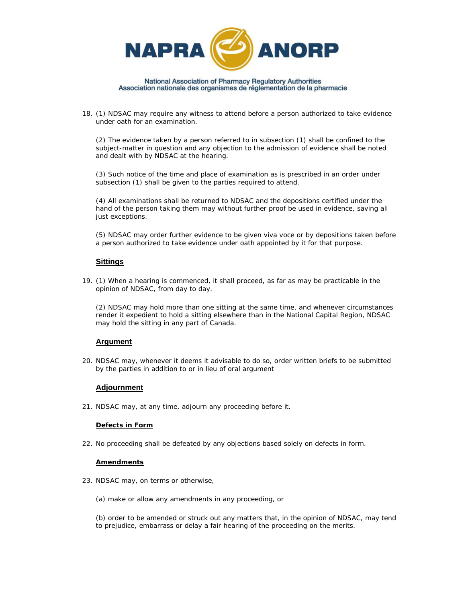

18. (1) NDSAC may require any witness to attend before a person authorized to take evidence under oath for an examination.

(2) The evidence taken by a person referred to in subsection (1) shall be confined to the subject-matter in question and any objection to the admission of evidence shall be noted and dealt with by NDSAC at the hearing.

(3) Such notice of the time and place of examination as is prescribed in an order under subsection (1) shall be given to the parties required to attend.

(4) All examinations shall be returned to NDSAC and the depositions certified under the hand of the person taking them may without further proof be used in evidence, saving all just exceptions.

(5) NDSAC may order further evidence to be given viva voce or by depositions taken before a person authorized to take evidence under oath appointed by it for that purpose.

## **Sittings**

19. (1) When a hearing is commenced, it shall proceed, as far as may be practicable in the opinion of NDSAC, from day to day.

(2) NDSAC may hold more than one sitting at the same time, and whenever circumstances render it expedient to hold a sitting elsewhere than in the National Capital Region, NDSAC may hold the sitting in any part of Canada.

### **Argument**

20. NDSAC may, whenever it deems it advisable to do so, order written briefs to be submitted by the parties in addition to or in lieu of oral argument

### **Adjournment**

21. NDSAC may, at any time, adjourn any proceeding before it.

### **Defects in Form**

22. No proceeding shall be defeated by any objections based solely on defects in form.

### **Amendments**

- 23. NDSAC may, on terms or otherwise,
	- (a) make or allow any amendments in any proceeding, or

(b) order to be amended or struck out any matters that, in the opinion of NDSAC, may tend to prejudice, embarrass or delay a fair hearing of the proceeding on the merits.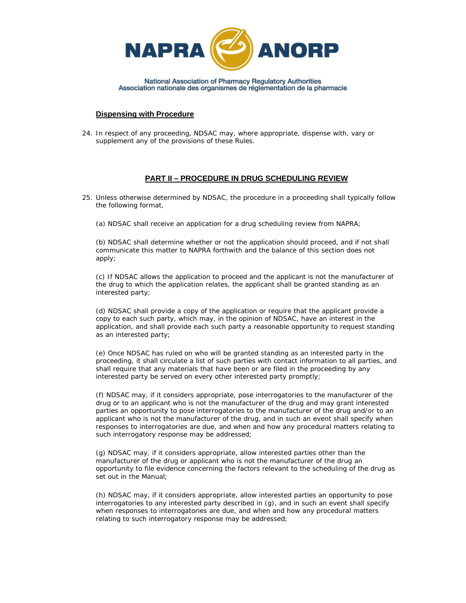

### **Dispensing with Procedure**

24. In respect of any proceeding, NDSAC may, where appropriate, dispense with, vary or supplement any of the provisions of these Rules.

## **PART II – PROCEDURE IN DRUG SCHEDULING REVIEW**

- 25. Unless otherwise determined by NDSAC, the procedure in a proceeding shall typically follow the following format,
	- (a) NDSAC shall receive an application for a drug scheduling review from NAPRA;

(b) NDSAC shall determine whether or not the application should proceed, and if not shall communicate this matter to NAPRA forthwith and the balance of this section does not apply;

(c) If NDSAC allows the application to proceed and the applicant is not the manufacturer of the drug to which the application relates, the applicant shall be granted standing as an interested party;

(d) NDSAC shall provide a copy of the application or require that the applicant provide a copy to each such party, which may, in the opinion of NDSAC, have an interest in the application, and shall provide each such party a reasonable opportunity to request standing as an interested party;

(e) Once NDSAC has ruled on who will be granted standing as an interested party in the proceeding, it shall circulate a list of such parties with contact information to all parties, and shall require that any materials that have been or are filed in the proceeding by any interested party be served on every other interested party promptly;

(f) NDSAC may, if it considers appropriate, pose interrogatories to the manufacturer of the drug or to an applicant who is not the manufacturer of the drug and may grant interested parties an opportunity to pose interrogatories to the manufacturer of the drug and/or to an applicant who is not the manufacturer of the drug, and in such an event shall specify when responses to interrogatories are due, and when and how any procedural matters relating to such interrogatory response may be addressed;

(g) NDSAC may, if it considers appropriate, allow interested parties other than the manufacturer of the drug or applicant who is not the manufacturer of the drug an opportunity to file evidence concerning the factors relevant to the scheduling of the drug as set out in the Manual;

(h) NDSAC may, if it considers appropriate, allow interested parties an opportunity to pose interrogatories to any interested party described in (g), and in such an event shall specify when responses to interrogatories are due, and when and how any procedural matters relating to such interrogatory response may be addressed;